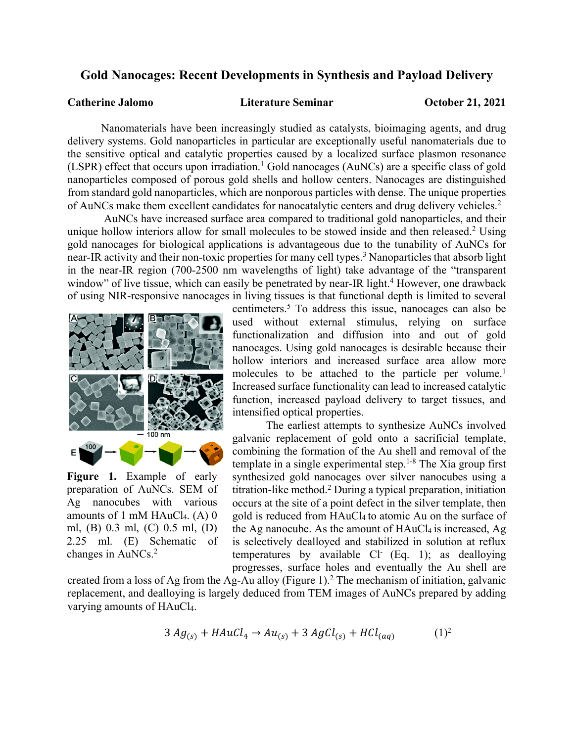## **Gold Nanocages: Recent Developments in Synthesis and Payload Delivery**

**Catherine Jalomo Literature Seminar October 21, 2021**

Nanomaterials have been increasingly studied as catalysts, bioimaging agents, and drug delivery systems. Gold nanoparticles in particular are exceptionally useful nanomaterials due to the sensitive optical and catalytic properties caused by a localized surface plasmon resonance (LSPR) effect that occurs upon irradiation. <sup>1</sup> Gold nanocages (AuNCs) are a specific class of gold nanoparticles composed of porous gold shells and hollow centers. Nanocages are distinguished from standard gold nanoparticles, which are nonporous particles with dense. The unique properties of AuNCs make them excellent candidates for nanocatalytic centers and drug delivery vehicles. 2

AuNCs have increased surface area compared to traditional gold nanoparticles, and their unique hollow interiors allow for small molecules to be stowed inside and then released.<sup>2</sup> Using gold nanocages for biological applications is advantageous due to the tunability of AuNCs for near-IR activity and their non-toxic properties for many cell types.<sup>3</sup> Nanoparticles that absorb light in the near-IR region (700-2500 nm wavelengths of light) take advantage of the "transparent window" of live tissue, which can easily be penetrated by near-IR light.<sup>4</sup> However, one drawback of using NIR-responsive nanocages in living tissues is that functional depth is limited to several



**Figure 1.** Example of early preparation of AuNCs. SEM of Ag nanocubes with various amounts of 1 mM HAuCl<sub>4</sub>. (A) 0 ml, (B) 0.3 ml, (C) 0.5 ml, (D) 2.25 ml. (E) Schematic of changes in AuNCs. 2

centimeters.5 To address this issue, nanocages can also be used without external stimulus, relying on surface functionalization and diffusion into and out of gold nanocages. Using gold nanocages is desirable because their hollow interiors and increased surface area allow more molecules to be attached to the particle per volume. 1 Increased surface functionality can lead to increased catalytic function, increased payload delivery to target tissues, and intensified optical properties.

The earliest attempts to synthesize AuNCs involved galvanic replacement of gold onto a sacrificial template, combining the formation of the Au shell and removal of the template in a single experimental step. 1-8 The Xia group first synthesized gold nanocages over silver nanocubes using a titration-like method.2 During a typical preparation, initiation occurs at the site of a point defect in the silver template, then gold is reduced from HAuCl<sub>4</sub> to atomic Au on the surface of the Ag nanocube. As the amount of  $HAuCl<sub>4</sub>$  is increased, Ag is selectively dealloyed and stabilized in solution at reflux temperatures by available  $Cl^-$  (Eq. 1); as dealloying progresses, surface holes and eventually the Au shell are

created from a loss of Ag from the Ag-Au alloy (Figure 1). <sup>2</sup> The mechanism of initiation, galvanic replacement, and dealloying is largely deduced from TEM images of AuNCs prepared by adding varying amounts of HAuCl4.

$$
3 Ag_{(s)} + HAuCl_4 \rightarrow Au_{(s)} + 3 AgCl_{(s)} + HCl_{(aq)}
$$
 (1)<sup>2</sup>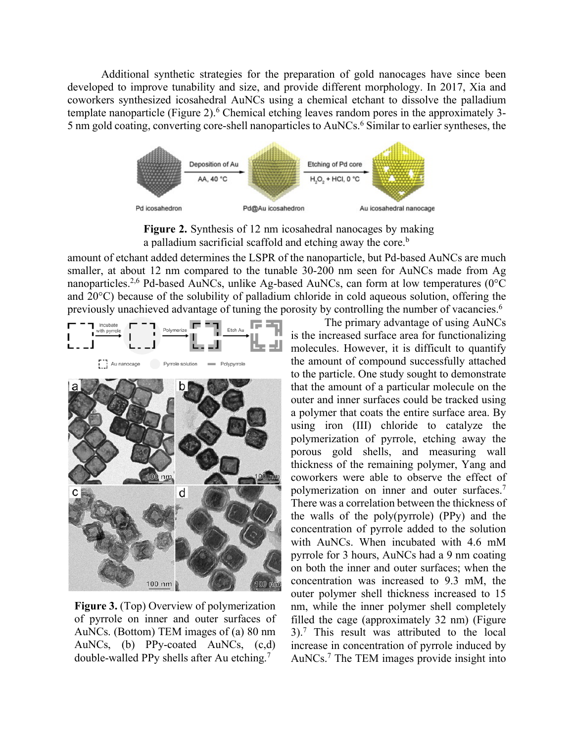Additional synthetic strategies for the preparation of gold nanocages have since been developed to improve tunability and size, and provide different morphology. In 2017, Xia and coworkers synthesized icosahedral AuNCs using a chemical etchant to dissolve the palladium template nanoparticle (Figure 2).<sup>6</sup> Chemical etching leaves random pores in the approximately 3-5 nm gold coating, converting core-shell nanoparticles to AuNCs. <sup>6</sup> Similar to earlier syntheses, the



**Figure 2.** Synthesis of 12 nm icosahedral nanocages by making a palladium sacrificial scaffold and etching away the core.<sup>b</sup>

amount of etchant added determines the LSPR of the nanoparticle, but Pd-based AuNCs are much smaller, at about 12 nm compared to the tunable 30-200 nm seen for AuNCs made from Ag nanoparticles.<sup>2,6</sup> Pd-based AuNCs, unlike Ag-based AuNCs, can form at low temperatures (0°C and 20°C) because of the solubility of palladium chloride in cold aqueous solution, offering the previously unachieved advantage of tuning the porosity by controlling the number of vacancies.<sup>6</sup>



**Figure 3.** (Top) Overview of polymerization of pyrrole on inner and outer surfaces of AuNCs. (Bottom) TEM images of (a) 80 nm AuNCs, (b) PPy-coated AuNCs, (c,d) double-walled PPy shells after Au etching.7

The primary advantage of using AuNCs is the increased surface area for functionalizing molecules. However, it is difficult to quantify the amount of compound successfully attached to the particle. One study sought to demonstrate that the amount of a particular molecule on the outer and inner surfaces could be tracked using a polymer that coats the entire surface area. By using iron (III) chloride to catalyze the polymerization of pyrrole, etching away the porous gold shells, and measuring wall thickness of the remaining polymer, Yang and coworkers were able to observe the effect of polymerization on inner and outer surfaces. 7 There was a correlation between the thickness of the walls of the poly(pyrrole) (PPy) and the concentration of pyrrole added to the solution with AuNCs. When incubated with 4.6 mM pyrrole for 3 hours, AuNCs had a 9 nm coating on both the inner and outer surfaces; when the concentration was increased to 9.3 mM, the outer polymer shell thickness increased to 15 nm, while the inner polymer shell completely filled the cage (approximately 32 nm) (Figure 3). <sup>7</sup> This result was attributed to the local increase in concentration of pyrrole induced by AuNCs. <sup>7</sup> The TEM images provide insight into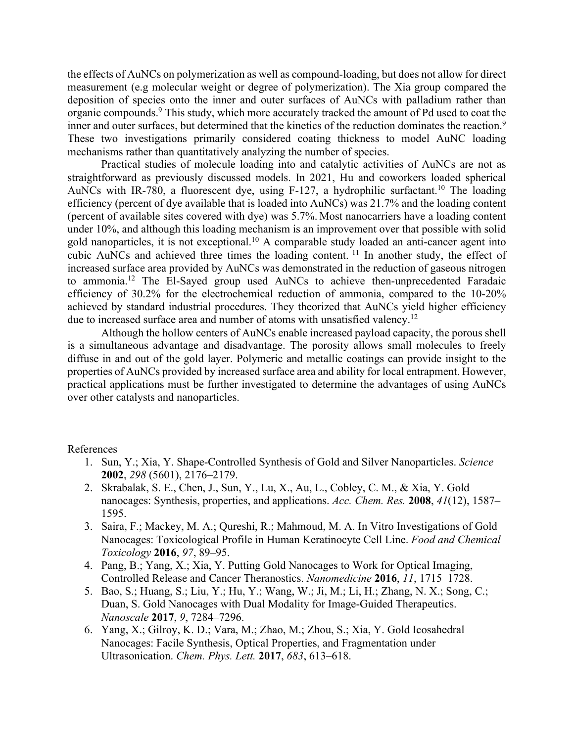the effects of AuNCs on polymerization as well as compound-loading, but does not allow for direct measurement (e.g molecular weight or degree of polymerization). The Xia group compared the deposition of species onto the inner and outer surfaces of AuNCs with palladium rather than organic compounds.<sup>9</sup> This study, which more accurately tracked the amount of Pd used to coat the inner and outer surfaces, but determined that the kinetics of the reduction dominates the reaction.<sup>9</sup> These two investigations primarily considered coating thickness to model AuNC loading mechanisms rather than quantitatively analyzing the number of species.

Practical studies of molecule loading into and catalytic activities of AuNCs are not as straightforward as previously discussed models. In 2021, Hu and coworkers loaded spherical AuNCs with IR-780, a fluorescent dye, using F-127, a hydrophilic surfactant.<sup>10</sup> The loading efficiency (percent of dye available that is loaded into AuNCs) was 21.7% and the loading content (percent of available sites covered with dye) was 5.7%. Most nanocarriers have a loading content under 10%, and although this loading mechanism is an improvement over that possible with solid gold nanoparticles, it is not exceptional.<sup>10</sup> A comparable study loaded an anti-cancer agent into cubic AuNCs and achieved three times the loading content. <sup>11</sup> In another study, the effect of increased surface area provided by AuNCs was demonstrated in the reduction of gaseous nitrogen to ammonia.12 The El-Sayed group used AuNCs to achieve then-unprecedented Faradaic efficiency of 30.2% for the electrochemical reduction of ammonia, compared to the 10-20% achieved by standard industrial procedures. They theorized that AuNCs yield higher efficiency due to increased surface area and number of atoms with unsatisfied valency.<sup>12</sup>

Although the hollow centers of AuNCs enable increased payload capacity, the porous shell is a simultaneous advantage and disadvantage. The porosity allows small molecules to freely diffuse in and out of the gold layer. Polymeric and metallic coatings can provide insight to the properties of AuNCs provided by increased surface area and ability for local entrapment. However, practical applications must be further investigated to determine the advantages of using AuNCs over other catalysts and nanoparticles.

References

- 1. Sun, Y.; Xia, Y. Shape-Controlled Synthesis of Gold and Silver Nanoparticles. *Science* **2002**, *298* (5601), 2176–2179.
- 2. Skrabalak, S. E., Chen, J., Sun, Y., Lu, X., Au, L., Cobley, C. M., & Xia, Y. Gold nanocages: Synthesis, properties, and applications. *Acc. Chem. Res.* **2008**, *41*(12), 1587– 1595.
- 3. Saira, F.; Mackey, M. A.; Qureshi, R.; Mahmoud, M. A. In Vitro Investigations of Gold Nanocages: Toxicological Profile in Human Keratinocyte Cell Line. *Food and Chemical Toxicology* **2016**, *97*, 89–95.
- 4. Pang, B.; Yang, X.; Xia, Y. Putting Gold Nanocages to Work for Optical Imaging, Controlled Release and Cancer Theranostics. *Nanomedicine* **2016**, *11*, 1715–1728.
- 5. Bao, S.; Huang, S.; Liu, Y.; Hu, Y.; Wang, W.; Ji, M.; Li, H.; Zhang, N. X.; Song, C.; Duan, S. Gold Nanocages with Dual Modality for Image-Guided Therapeutics. *Nanoscale* **2017**, *9*, 7284–7296.
- 6. Yang, X.; Gilroy, K. D.; Vara, M.; Zhao, M.; Zhou, S.; Xia, Y. Gold Icosahedral Nanocages: Facile Synthesis, Optical Properties, and Fragmentation under Ultrasonication. *Chem. Phys. Lett.* **2017**, *683*, 613–618.